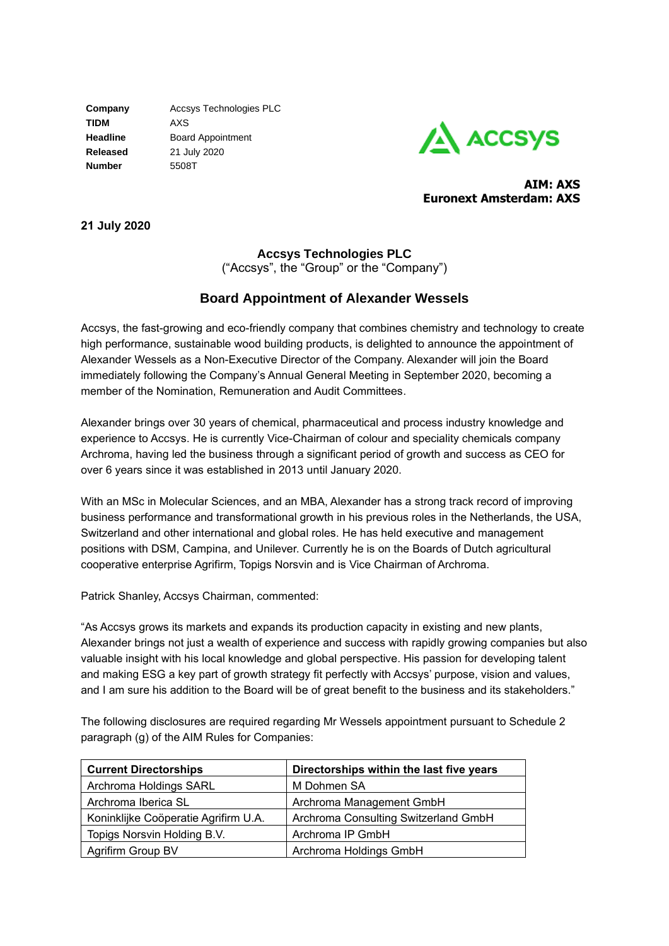**TIDM** AXS **Number** 5508T

**Company** Accsys Technologies PLC **Headline** Board Appointment **Released** 21 July 2020



**AIM: AXS Euronext Amsterdam: AXS**

**21 July 2020**

## **Accsys Technologies PLC**

("Accsys", the "Group" or the "Company")

# **Board Appointment of Alexander Wessels**

Accsys, the fast-growing and eco-friendly company that combines chemistry and technology to create high performance, sustainable wood building products, is delighted to announce the appointment of Alexander Wessels as a Non-Executive Director of the Company. Alexander will join the Board immediately following the Company's Annual General Meeting in September 2020, becoming a member of the Nomination, Remuneration and Audit Committees.

Alexander brings over 30 years of chemical, pharmaceutical and process industry knowledge and experience to Accsys. He is currently Vice-Chairman of colour and speciality chemicals company Archroma, having led the business through a significant period of growth and success as CEO for over 6 years since it was established in 2013 until January 2020.

With an MSc in Molecular Sciences, and an MBA, Alexander has a strong track record of improving business performance and transformational growth in his previous roles in the Netherlands, the USA, Switzerland and other international and global roles. He has held executive and management positions with DSM, Campina, and Unilever. Currently he is on the Boards of Dutch agricultural cooperative enterprise Agrifirm, Topigs Norsvin and is Vice Chairman of Archroma.

Patrick Shanley, Accsys Chairman, commented:

"As Accsys grows its markets and expands its production capacity in existing and new plants, Alexander brings not just a wealth of experience and success with rapidly growing companies but also valuable insight with his local knowledge and global perspective. His passion for developing talent and making ESG a key part of growth strategy fit perfectly with Accsys' purpose, vision and values, and I am sure his addition to the Board will be of great benefit to the business and its stakeholders."

The following disclosures are required regarding Mr Wessels appointment pursuant to Schedule 2 paragraph (g) of the AIM Rules for Companies:

| <b>Current Directorships</b>         | Directorships within the last five years |  |
|--------------------------------------|------------------------------------------|--|
| Archroma Holdings SARL               | M Dohmen SA                              |  |
| Archroma Iberica SL                  | Archroma Management GmbH                 |  |
| Koninklijke Coöperatie Agrifirm U.A. | Archroma Consulting Switzerland GmbH     |  |
| Topigs Norsvin Holding B.V.          | Archroma IP GmbH                         |  |
| Agrifirm Group BV                    | Archroma Holdings GmbH                   |  |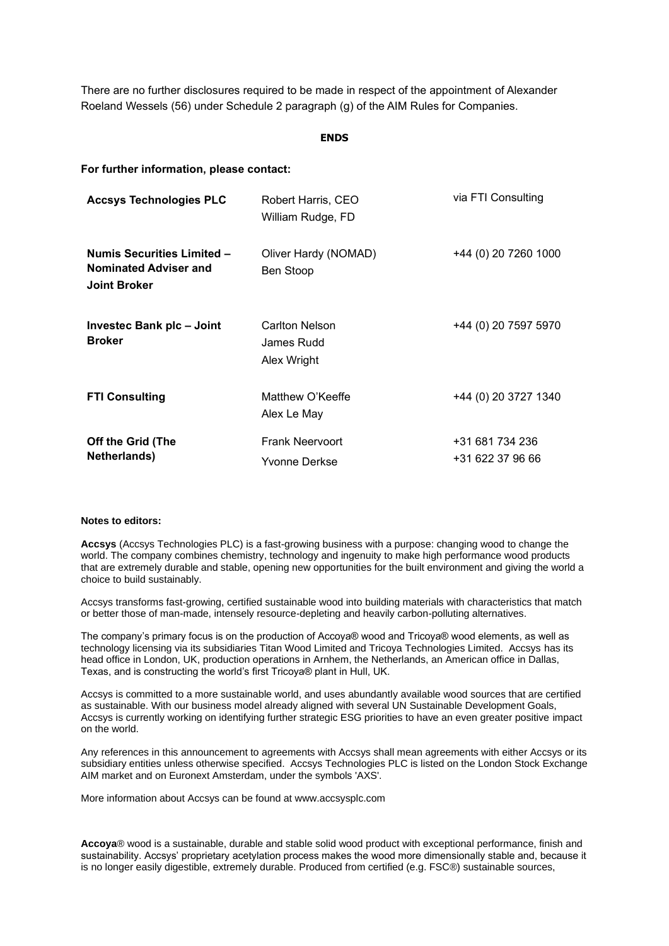There are no further disclosures required to be made in respect of the appointment of Alexander Roeland Wessels (56) under Schedule 2 paragraph (g) of the AIM Rules for Companies.

### **ENDS**

### **For further information, please contact:**

| <b>Accsys Technologies PLC</b>                                                           | Robert Harris, CEO<br>William Rudge, FD     | via FTI Consulting                  |
|------------------------------------------------------------------------------------------|---------------------------------------------|-------------------------------------|
| <b>Numis Securities Limited -</b><br><b>Nominated Adviser and</b><br><b>Joint Broker</b> | Oliver Hardy (NOMAD)<br>Ben Stoop           | +44 (0) 20 7260 1000                |
| Investec Bank plc - Joint<br><b>Broker</b>                                               | Carlton Nelson<br>James Rudd<br>Alex Wright | +44 (0) 20 7597 5970                |
| <b>FTI Consulting</b>                                                                    | Matthew O'Keeffe<br>Alex Le May             | +44 (0) 20 3727 1340                |
| Off the Grid (The<br>Netherlands)                                                        | <b>Frank Neervoort</b><br>Yvonne Derkse     | +31 681 734 236<br>+31 622 37 96 66 |

#### **Notes to editors:**

**Accsys** (Accsys Technologies PLC) is a fast-growing business with a purpose: changing wood to change the world. The company combines chemistry, technology and ingenuity to make high performance wood products that are extremely durable and stable, opening new opportunities for the built environment and giving the world a choice to build sustainably.

Accsys transforms fast-growing, certified sustainable wood into building materials with characteristics that match or better those of man-made, intensely resource-depleting and heavily carbon-polluting alternatives.

The company's primary focus is on the production of Accoya® wood and Tricoya® wood elements, as well as technology licensing via its subsidiaries Titan Wood Limited and Tricoya Technologies Limited. Accsys has its head office in London, UK, production operations in Arnhem, the Netherlands, an American office in Dallas, Texas, and is constructing the world's first Tricoya® plant in Hull, UK.

Accsys is committed to a more sustainable world, and uses abundantly available wood sources that are certified as sustainable. With our business model already aligned with several UN Sustainable Development Goals, Accsys is currently working on identifying further strategic ESG priorities to have an even greater positive impact on the world.

Any references in this announcement to agreements with Accsys shall mean agreements with either Accsys or its subsidiary entities unless otherwise specified. Accsys Technologies PLC is listed on the London Stock Exchange AIM market and on Euronext Amsterdam, under the symbols 'AXS'.

More information about Accsys can be found at www.accsysplc.com

**Accoya**® wood is a sustainable, durable and stable solid wood product with exceptional performance, finish and sustainability. Accsys' proprietary acetylation process makes the wood more dimensionally stable and, because it is no longer easily digestible, extremely durable. Produced from certified (e.g. FSC®) sustainable sources,